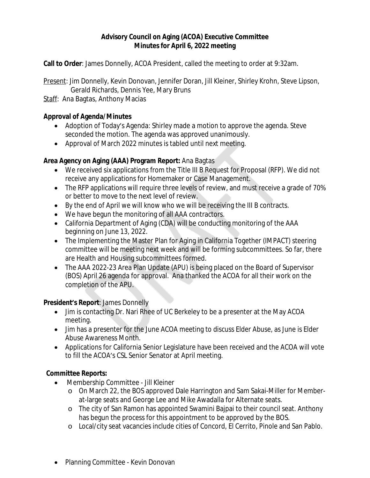# **Advisory Council on Aging (ACOA) Executive Committee Minutes for April 6, 2022 meeting**

**Call to Order**: James Donnelly, ACOA President, called the meeting to order at 9:32am.

Present: Jim Donnelly, Kevin Donovan, Jennifer Doran, Jill Kleiner, Shirley Krohn, Steve Lipson, Gerald Richards, Dennis Yee, Mary Bruns

Staff: Ana Bagtas, Anthony Macias

# **Approval of Agenda/Minutes**

- Adoption of Today's Agenda: Shirley made a motion to approve the agenda. Steve seconded the motion. The agenda was approved unanimously.
- Approval of March 2022 minutes is tabled until next meeting.

## **Area Agency on Aging (AAA) Program Report:** Ana Bagtas

- We received six applications from the Title III B Request for Proposal (RFP). We did not receive any applications for Homemaker or Case Management.
- The RFP applications will require three levels of review, and must receive a grade of 70% or better to move to the next level of review.
- By the end of April we will know who we will be receiving the III B contracts.
- We have begun the monitoring of all AAA contractors.
- California Department of Aging (CDA) will be conducting monitoring of the AAA beginning on June 13, 2022.
- The Implementing the Master Plan for Aging in California Together (IMPACT) steering committee will be meeting next week and will be forming subcommittees. So far, there are Health and Housing subcommittees formed.
- The AAA 2022-23 Area Plan Update (APU) is being placed on the Board of Supervisor (BOS) April 26 agenda for approval. Ana thanked the ACOA for all their work on the completion of the APU.

# **President's Report**: James Donnelly

- Jim is contacting Dr. Nari Rhee of UC Berkeley to be a presenter at the May ACOA meeting.
- Jim has a presenter for the June ACOA meeting to discuss Elder Abuse, as June is Elder Abuse Awareness Month.
- Applications for California Senior Legislature have been received and the ACOA will vote to fill the ACOA's CSL Senior Senator at April meeting.

# **Committee Reports:**

- Membership Committee Jill Kleiner
	- o On March 22, the BOS approved Dale Harrington and Sam Sakai-Miller for Memberat-large seats and George Lee and Mike Awadalla for Alternate seats.
	- o The city of San Ramon has appointed Swamini Bajpai to their council seat. Anthony has begun the process for this appointment to be approved by the BOS.
	- o Local/city seat vacancies include cities of Concord, El Cerrito, Pinole and San Pablo.
- Planning Committee Kevin Donovan